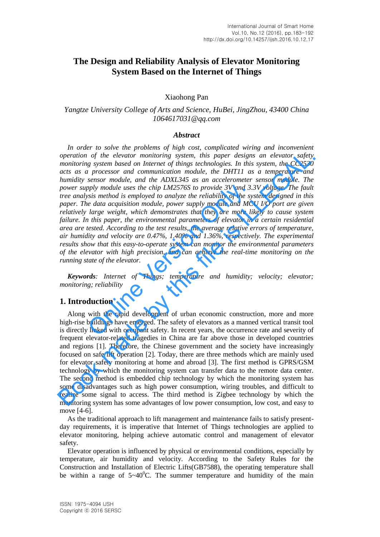# **The Design and Reliability Analysis of Elevator Monitoring System Based on the Internet of Things**

#### Xiaohong Pan

# *Yangtze University College of Arts and Science, HuBei, JingZhou, 43400 China 1064617031@qq.com*

#### *Abstract*

In order to solve the problems of high cost, complicated wiring and inconvenient *operation of the elevator monitoring system, this paper designs an elevator safety monitoring system based on Internet of things technologies. In this system, the CC2530 acts as a processor and communication module, the DHT11 as a temperature and humidity sensor module, and the ADXL345 as an accelerometer sensor module. The power supply module uses the chip LM2576S to provide 3V and 3.3V voltage. The fault tree analysis method is employed to analyze the reliability of the system designed in this paper. The data acquisition module, power supply module and MCU I/O port are given relatively large weight, which demonstrates that they are more likely to cause system*  failure. In this paper, the environmental parameters of elevator in a certain residential *area are tested. According to the test results, the average relative errors of temperature, air humidity and velocity are 0.47%, 1.40% and 1.36%, respectively. The experimental results show that this easy-to-operate system can monitor the environmental parameters of the elevator with high precision, and can achieve the real-time monitoring on the running state of the elevator.*  ply module uses the chip LM2576S to provide 3V and 3.<br>sis method is employed to analyze the reliability of the sy<br>e data acquisition module, power supply module and MC<br>large weight, which demonstrates that they are more li operation of the elevator monitoring system, this paper designs an elevator safety<br>nonitoring system based on Internet of things technologies. In this system, the CC2530<br>acts as a processor and communication module, the D

*Keywords: Internet of Things; temperature and humidity; velocity; elevator; monitoring; reliability*

## **1. Introduction**

Along with the rapid development of urban economic construction, more and more high-rise buildings have emerged. The safety of elevators as a manned vertical transit tool is directly linked with occupant safety. In recent years, the occurrence rate and severity of frequent elevator-related tragedies in China are far above those in developed countries and regions [1]. Therefore, the Chinese government and the society have increasingly focused on safe lift operation [2]. Today, there are three methods which are mainly used for elevator safety monitoring at home and abroad [3]. The first method is GPRS/GSM technology by which the monitoring system can transfer data to the remote data center. The second method is embedded chip technology by which the monitoring system has some disadvantages such as high power consumption, wiring troubles, and difficult to realize some signal to access. The third method is Zigbee technology by which the monitoring system has some advantages of low power consumption, low cost, and easy to move [4-6].

As the traditional approach to lift management and maintenance fails to satisfy presentday requirements, it is imperative that Internet of Things technologies are applied to elevator monitoring, helping achieve automatic control and management of elevator safety.

Elevator operation is influenced by physical or environmental conditions, especially by temperature, air humidity and velocity. According to the Safety Rules for the Construction and Installation of Electric Lifts(GB7588), the operating temperature shall be within a range of  $5~40^{\circ}$ C. The summer temperature and humidity of the main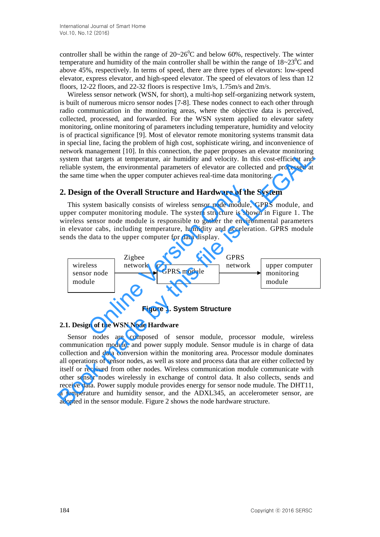controller shall be within the range of  $20~26^{\circ}$ C and below 60%, respectively. The winter temperature and humidity of the main controller shall be within the range of  $18{\sim}23^0C$  and above 45%, respectively. In terms of speed, there are three types of elevators: low-speed elevator, express elevator, and high-speed elevator. The speed of elevators of less than 12 floors, 12-22 floors, and 22-32 floors is respective 1m/s, 1.75m/s and 2m/s.

Wireless sensor network (WSN, for short), a multi-hop self-organizing network system, is built of numerous micro sensor nodes [7-8]. These nodes connect to each other through radio communication in the monitoring areas, where the objective data is perceived, collected, processed, and forwarded. For the WSN system applied to elevator safety monitoring, online monitoring of parameters including temperature, humidity and velocity is of practical significance [9]. Most of elevator remote monitoring systems transmit data in special line, facing the problem of high cost, sophisticate wiring, and inconvenience of network management [10]. In this connection, the paper proposes an elevator monitoring system that targets at temperature, air humidity and velocity. In this cost-efficient and reliable system, the environmental parameters of elevator are collected and processed at the same time when the upper computer achieves real-time data monitoring.

# **2. Design of the Overall Structure and Hardware of the System**

This system basically consists of wireless sensor node module, GPRS module, and upper computer monitoring module. The system structure is shown in Figure 1. The wireless sensor node module is responsible to gather the environmental parameters in elevator cabs, including temperature, humidity and acceleration. GPRS module sends the data to the upper computer for data display.



**Figure 1. System Structure** 

#### **2.1. Design of the WSN Node Hardware**

Sensor nodes are composed of sensor module, processor module, wireless communication module, and power supply module. Sensor mudule is in charge of data collection and data conversion within the monitoring area. Processor module dominates all operations of sensor nodes, as well as store and process data that are either collected by itself or received from other nodes. Wireless communication module communicate with other sensor nodes wirelessly in exchange of control data. It also collects, sends and receive data. Power supply module provides energy for sensor node mudule. The DHT11, a temperature and humidity sensor, and the ADXL345, an accelerometer sensor, are adopted in the sensor module. Figure 2 shows the node hardware structure. Experient in this touther than the paper physios and term of the control in the solution of respective that targets at temperature, air humidity and velocity. In this cost-efficient and reliable system, the environmental p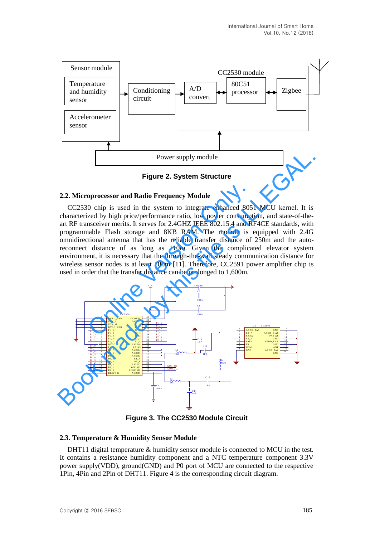

**Figure 2. System Structure** 

#### **2.2. Microprocessor and Radio Frequency Module**

CC2530 chip is used in the system to integrate enhanced 8051 MCU kernel. It is characterized by high price/performance ratio, low power consumption, and state-of-theart RF transceiver merits. It serves for 2.4GHZ IEEE 802.15.4 and RF4CE standards, with programmable Flash storage and 8KB RAM. The module is equipped with 2.4G omnidirectional antenna that has the reliable transfer distance of 250m and the autoreconnect distance of as long as 110m. Given the complicated elevator system environment, it is necessary that the through-the-wall steady communication distance for wireless sensor nodes is at least 100m [11]. Therefore, CC2591 power amplifier chip is **oprocessor and Radio Frequency Module**<br>
0 chip is used in the system to integrate enhanced 805<br>
zed by high price/performance ratio, low power consumpt<br>
nsceiver merits. It serves for 2.4GHZ IEEE 802.15.4 and R<br>
anable F



**Figure 3. The CC2530 Module Circuit** 

#### **2.3. Temperature & Humidity Sensor Module**

DHT11 digital temperature & humidity sensor module is connected to MCU in the test. It contains a resistance humidity component and a NTC temperature component 3.3V power supply(VDD), ground(GND) and P0 port of MCU are connected to the respective 1Pin, 4Pin and 2Pin of DHT11. Figure 4 is the corresponding circuit diagram.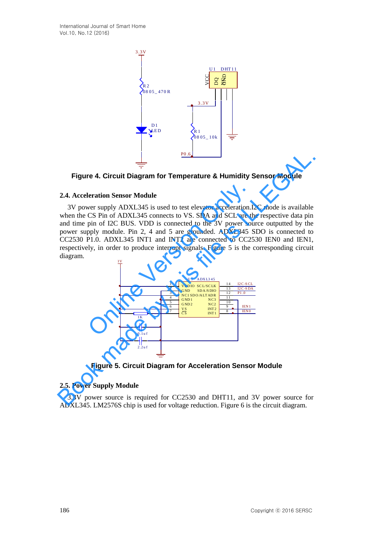



#### **2.4. Acceleration Sensor Module**

3V power supply ADXL345 is used to test elevator acceleration.I2C mode is available when the CS Pin of ADXL345 connects to VS. SDA and SCL are the respective data pin and time pin of I2C BUS. VDD is connected to the 3V power source outputted by the power supply module. Pin 2, 4 and 5 are grounded. ADXL345 SDO is connected to CC2530 P1.0. ADXL345 INT1 and INT2 are connected to CC2530 IEN0 and IEN1, respectively, in order to produce interrupt signals. Figure 5 is the corresponding circuit diagram.  $\frac{3V}{4}$ **Eigure 4. Circuit Diagram for Temperature 8. Humidity Sensor Module<br>
2.4. Acceleration Sensor Module<br>
3.9 yower supply ADXL345 is used to test elevator acceleration.12C mode is available<br>
when the CS Pin of ADXL345 is us** 



**Figure 5. Circuit Diagram for Acceleration Sensor Module** 

#### **2.5. Power Supply Module**

3.3V power source is required for CC2530 and DHT11, and 3V power source for ADXL345. LM2576S chip is used for voltage reduction. Figure 6 is the circuit diagram.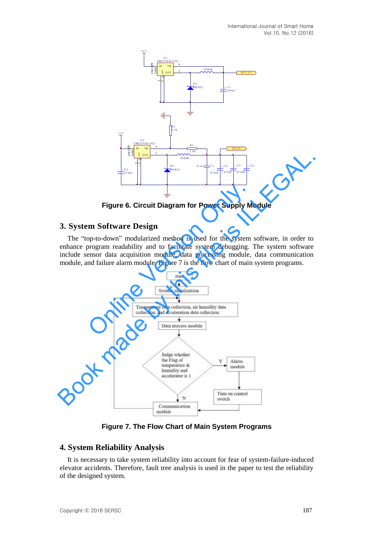

**Figure 6. Circuit Diagram for Power Supply Module** 

# **3. System Software Design**

The "top-to-down" modularized method is used for the system software, in order to enhance program readability and to facilitate system debugging. The system software include sensor data acquisition module, data processing module, data communication module, and failure alarm module. Figure 7 is the flow chart of main system programs.



**Figure 7. The Flow Chart of Main System Programs** 

# **4. System Reliability Analysis**

It is necessary to take system reliability into account for fear of system-failure-induced elevator accidents. Therefore, fault tree analysis is used in the paper to test the reliability of the designed system.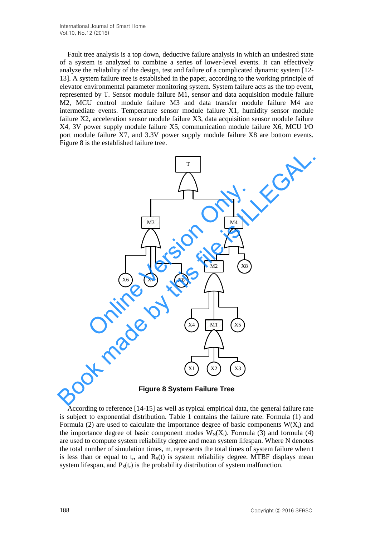Fault tree analysis is a top down, deductive failure analysis in which an undesired state of a system is analyzed to combine a series of lower-level events. It can effectively analyze the reliability of the design, test and failure of a complicated dynamic system [12- 13]. A system failure tree is established in the paper, according to the working principle of elevator environmental parameter monitoring system. System failure acts as the top event, represented by T. Sensor module failure M1, sensor and data acquisition module failure M2, MCU control module failure M3 and data transfer module failure M4 are intermediate events. Temperature sensor module failure X1, humidity sensor module failure X2, acceleration sensor module failure X3, data acquisition sensor module failure X4, 3V power supply module failure X5, communication module failure X6, MCU I/O port module failure X7, and 3.3V power supply module failure X8 are bottom events. Figure 8 is the established failure tree.



**Figure 8 System Failure Tree** 

According to reference [14-15] as well as typical empirical data, the general failure rate is subject to exponential distribution. Table 1 contains the failure rate. Formula (1) and Formula (2) are used to calculate the importance degree of basic components  $W(X_i)$  and the importance degree of basic component modes  $W_N(X_i)$ . Formula (3) and formula (4) are used to compute system reliability degree and mean system lifespan. Where N denotes the total number of simulation times,  $m_r$  represents the total times of system failure when t is less than or equal to  $t_r$ , and  $R_S(t)$  is system reliability degree. MTBF displays mean system lifespan, and  $P_S(t_r)$  is the probability distribution of system malfunction.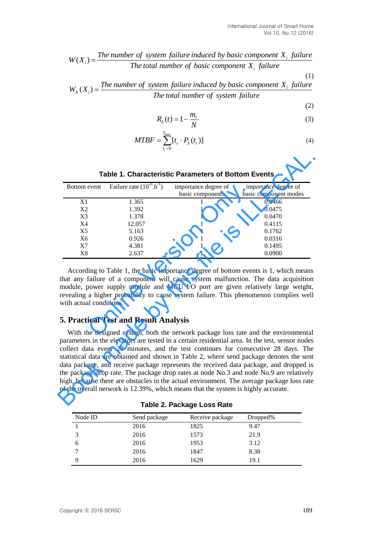# *i i Thenumber of system failure induced by basic component*  $X_i$  *failure*<br>*The total number of basic component*  $X_i$  *failure*<br>*The total number of basic component*  $X_i$  *failure The total number of system failure induced by basic component*<br>The total number of basic component  $X_i$  failure

$$
W(X_i) = \frac{\text{The number of system failure induced by basic component } X_i \text{ failure}}{\text{The total number of basic component } X_i \text{ failure}}
$$
\n
$$
W_N(X_i) = \frac{\text{The number of system failure induced by basic component } X_i \text{ failure}}{\text{The total number of system failure}}
$$
\n(1)

$$
R_{S}(t) = 1 - \frac{m_r}{N}
$$
\n<sup>(3)</sup>

$$
MTBF = \sum_{t_r=0}^{T_{\text{max}}} [t_r \cdot P_S(t_r)]
$$
\n(4)

|                                                            |                                                        |                                                                                   | $W(X_i) = \frac{The number of system failure induced by basic component X_i failure}{The total number of basic component X_i failure}$<br>(1)                                                                                                                                                                                                                                                                                                                                                                                                                                                                                                             |  |  |  |  |  |
|------------------------------------------------------------|--------------------------------------------------------|-----------------------------------------------------------------------------------|-----------------------------------------------------------------------------------------------------------------------------------------------------------------------------------------------------------------------------------------------------------------------------------------------------------------------------------------------------------------------------------------------------------------------------------------------------------------------------------------------------------------------------------------------------------------------------------------------------------------------------------------------------------|--|--|--|--|--|
|                                                            |                                                        |                                                                                   |                                                                                                                                                                                                                                                                                                                                                                                                                                                                                                                                                                                                                                                           |  |  |  |  |  |
|                                                            |                                                        |                                                                                   | $W_N(X_i) = \frac{The number of system failure induced by basic component X_i failure}{The total number of system failure}$                                                                                                                                                                                                                                                                                                                                                                                                                                                                                                                               |  |  |  |  |  |
|                                                            |                                                        |                                                                                   | (2)                                                                                                                                                                                                                                                                                                                                                                                                                                                                                                                                                                                                                                                       |  |  |  |  |  |
|                                                            |                                                        | $R_{S}(t) = 1 - \frac{m_r}{N}$                                                    | (3)                                                                                                                                                                                                                                                                                                                                                                                                                                                                                                                                                                                                                                                       |  |  |  |  |  |
|                                                            | $MTBF = \sum_{t=0}^{T_{\rm max}} [t_r \cdot P_s(t_r)]$ |                                                                                   | (4)                                                                                                                                                                                                                                                                                                                                                                                                                                                                                                                                                                                                                                                       |  |  |  |  |  |
| <b>Table 1. Characteristic Parameters of Bottom Events</b> |                                                        |                                                                                   |                                                                                                                                                                                                                                                                                                                                                                                                                                                                                                                                                                                                                                                           |  |  |  |  |  |
| Bottom event                                               | Failure rate $(10^{-6} \text{.} \text{h}^{-1})$        | importance degree of                                                              | importance degree of                                                                                                                                                                                                                                                                                                                                                                                                                                                                                                                                                                                                                                      |  |  |  |  |  |
|                                                            |                                                        | basic components                                                                  | basic component modes                                                                                                                                                                                                                                                                                                                                                                                                                                                                                                                                                                                                                                     |  |  |  |  |  |
| X <sub>1</sub>                                             | 1.365                                                  | 1                                                                                 | 0.0466                                                                                                                                                                                                                                                                                                                                                                                                                                                                                                                                                                                                                                                    |  |  |  |  |  |
| X2                                                         | 1.392<br>1.378                                         | 1<br>1                                                                            | 0.0475<br>0.0470                                                                                                                                                                                                                                                                                                                                                                                                                                                                                                                                                                                                                                          |  |  |  |  |  |
|                                                            |                                                        |                                                                                   | 0.4115                                                                                                                                                                                                                                                                                                                                                                                                                                                                                                                                                                                                                                                    |  |  |  |  |  |
| X3<br>X4                                                   | 12.057                                                 | 1                                                                                 |                                                                                                                                                                                                                                                                                                                                                                                                                                                                                                                                                                                                                                                           |  |  |  |  |  |
| X <sub>5</sub>                                             | 5.163                                                  | 1                                                                                 | 0.1762                                                                                                                                                                                                                                                                                                                                                                                                                                                                                                                                                                                                                                                    |  |  |  |  |  |
| X <sub>6</sub>                                             | 0.926                                                  | 1                                                                                 | 0.0316                                                                                                                                                                                                                                                                                                                                                                                                                                                                                                                                                                                                                                                    |  |  |  |  |  |
| X7<br>X8                                                   | 4.381<br>2.637                                         | 1<br>1                                                                            | 0.1495<br>0.0900<br>According to Table 1, the basic importance degree of bottom events is 1, which means<br>that any failure of a component will cause system malfunction. The data acquisition<br>module, power supply module and MCU I/O port are given relatively large weight,                                                                                                                                                                                                                                                                                                                                                                        |  |  |  |  |  |
| with actual conditions.                                    |                                                        |                                                                                   |                                                                                                                                                                                                                                                                                                                                                                                                                                                                                                                                                                                                                                                           |  |  |  |  |  |
|                                                            | <b>5. Practical Test and Result Analysis</b>           |                                                                                   | revealing a higher probability to cause system failure. This phenomenon complies well                                                                                                                                                                                                                                                                                                                                                                                                                                                                                                                                                                     |  |  |  |  |  |
|                                                            |                                                        | of the overall network is 12.39%, which means that the system is highly accurate. | With the designed system, both the network package loss rate and the environmental<br>parameters in the elevators are tested in a certain residential area. In the test, sensor nodes<br>collect data every 20 minutes, and the test continues for consecutive 28 days. The<br>statistical data are obtained and shown in Table 2, where send package denotes the sent<br>data package, and receive package represents the received data package, and dropped is<br>the package drop rate. The package drop rates at node No.3 and node No.9 are relatively<br>high, because there are obstacles in the actual environment. The average package loss rate |  |  |  |  |  |
|                                                            |                                                        | Table 2. Package Loss Rate                                                        |                                                                                                                                                                                                                                                                                                                                                                                                                                                                                                                                                                                                                                                           |  |  |  |  |  |
| Node ID                                                    | Send package                                           | Receive package                                                                   | Dropped%                                                                                                                                                                                                                                                                                                                                                                                                                                                                                                                                                                                                                                                  |  |  |  |  |  |
| 1                                                          | 2016                                                   | 1825                                                                              | 9.47                                                                                                                                                                                                                                                                                                                                                                                                                                                                                                                                                                                                                                                      |  |  |  |  |  |
| 3                                                          | 2016                                                   | 1573                                                                              | 21.9                                                                                                                                                                                                                                                                                                                                                                                                                                                                                                                                                                                                                                                      |  |  |  |  |  |
| 6                                                          | 2016                                                   | 1953                                                                              | 3.12                                                                                                                                                                                                                                                                                                                                                                                                                                                                                                                                                                                                                                                      |  |  |  |  |  |
| 7<br>9                                                     | 2016<br>2016                                           | 1847<br>1629                                                                      | 8.38<br>19.1                                                                                                                                                                                                                                                                                                                                                                                                                                                                                                                                                                                                                                              |  |  |  |  |  |

#### **Table 1. Characteristic Parameters of Bottom Events**

# **5. Practical Test and Result Analysis**

| Node ID | Send package | Receive package | Dropped% |
|---------|--------------|-----------------|----------|
|         | 2016         | 1825            | 9.47     |
|         | 2016         | 1573            | 21.9     |
| h       | 2016         | 1953            | 3.12     |
|         | 2016         | 1847            | 8.38     |
|         | 2016         | 1629            | 19.1     |

**Table 2. Package Loss Rate**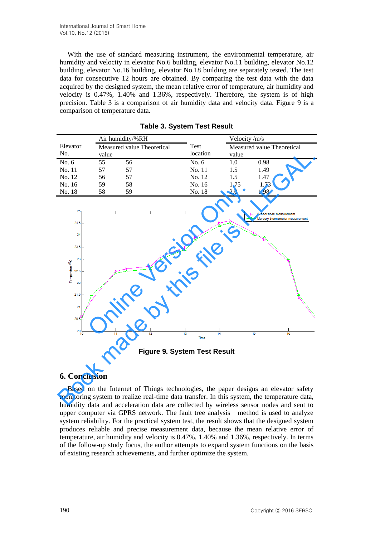With the use of standard measuring instrument, the environmental temperature, air humidity and velocity in elevator No.6 building, elevator No.11 building, elevator No.12 building, elevator No.16 building, elevator No.18 building are separately tested. The test data for consecutive 12 hours are obtained. By comparing the test data with the data acquired by the designed system, the mean relative error of temperature, air humidity and velocity is 0.47%, 1.40% and 1.36%, respectively. Therefore, the system is of high precision. Table 3 is a comparison of air humidity data and velocity data. Figure 9 is a comparison of temperature data.

|          | Air humidity/%RH                    |    |          | Velocity /m/s                       |      |  |
|----------|-------------------------------------|----|----------|-------------------------------------|------|--|
| Elevator | Measured value Theoretical<br>value |    | Test     | Measured value Theoretical<br>value |      |  |
| No.      |                                     |    | location |                                     |      |  |
| No. 6    | 55                                  | 56 | No. $6$  | 1.0                                 | 0.98 |  |
| No. 11   | 57                                  | 57 | No. 11   | 1.5                                 | 1.49 |  |
| No. 12   | 56                                  | 57 | No. 12   | 1.5                                 | 1.47 |  |
| No. 16   | 59                                  | 58 | No. 16   | 1.75                                | 1.73 |  |
| No. 18   | 58                                  | 59 | No. 18   | 2.0                                 | 1.98 |  |

**Table 3. System Test Result** 



**Figure 9. System Test Result** 

# **6. Conclusion**

Based on the Internet of Things technologies, the paper designs an elevator safety monitoring system to realize real-time data transfer. In this system, the temperature data, humidity data and acceleration data are collected by wireless sensor nodes and sent to upper computer via GPRS network. The fault tree analysis method is used to analyze system reliability. For the practical system test, the result shows that the designed system produces reliable and precise measurement data, because the mean relative error of temperature, air humidity and velocity is 0.47%, 1.40% and 1.36%, respectively. In terms of the follow-up study focus, the author attempts to expand system functions on the basis of existing research achievements, and further optimize the system.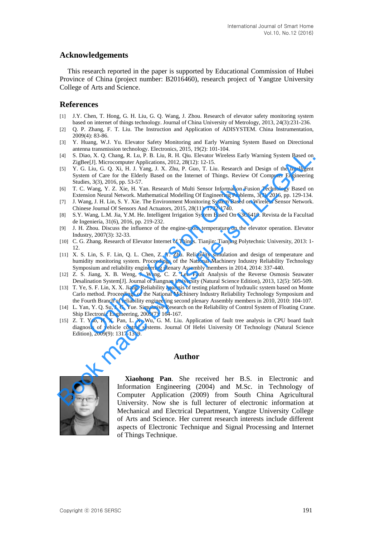# **Acknowledgements**

This research reported in the paper is supported by Educational Commission of Hubei Province of China (project number: B2016460), research project of Yangtze University College of Arts and Science.

#### **References**

- [1] J.Y. Chen, T. Hong, G. H. Liu, G. Q. Wang, J. Zhou. Research of elevator safety monitoring system based on internet of things technology. Journal of China University of Metrology, 2013, 24(3):231-236.
- [2] Q. P. Zhang, F. T. Liu. The Instruction and Application of ADISYSTEM. China Instrumentation, 2009(4): 83-86.
- [3] Y. Huang, W.J. Yu. Elevator Safety Monitoring and Early Warning System Based on Directional antenna transmission technology. Electronics, 2015, 19(2): 101-104.
- [4] S. Diao, X. Q. Chang, R. Lu, P. B. Liu, R. H. Qiu. Elevator Wireless Early Warning System Based on ZigBee[J]. Microcomputer Applications, 2012, 28(12): 12-15.
- [5] Y. G. Liu, G. Q. Xi, H. J. Yang, J. X. Zhu, P. Guo, T. Liu. Research and Design of the Intelligent System of Care for the Elderly Based on the Internet of Things. Review Of Computer Engineering Studies, 3(3), 2016, pp. 53-57.
- [6] T. C. Wang, Y. Z. Xie, H. Yan. Research of Multi Sensor Information Fusion Technology Based on Extension Neural Network. Mathematical Modelling Of Engineering Problems, 3(3), 2016, pp. 129-134.
- [7] J. Wang, J. H. Lin, S. Y. Xie. The Environment Monitoring System Based on Wireless Sensor Network. Chinese Journal Of Sensors And Actuators, 2015, 28(11): 1732-1740.
- [8] S.Y. Wang, L.M. Jia, Y.M. He. Intelligent Irrigation System Based On S3C6410. Revista de la Facultad de Ingeniería, 31(6), 2016, pp. 219-232.
- [9] J. H. Zhou. Discuss the influence of the engine-room temperature on the elevator operation. Elevator Industry, 2007(3): 32-33.
- [10] C. G. Zhang. Research of Elevator Internet of Things. Tianjin: Tianjing Polytechnic University, 2013: 1- 12.
- [11] X. S. Lin, S. F. Lin, Q. L. Chen, Z. Y. Zhu. Reliability simulation and design of temperature and humidity monitoring system. Proceedings of the National Machinery Industry Reliability Technology Symposium and reliability engineering plenary Assembly members in 2014, 2014: 337-440. Wang, Y. Z. Xie, H. Yan. Research of Multi Sensor Information Fusion Neural Network. Mathematical Modelling Of Engineering Problems<br>ign, J. H. Lin, S. Y. Xie. The Environment Monitoring System Based on<br>g.g. J. H. Lin, S. Y
- [12] Z. S. Jiang, X. B. Weng, J. Wang, C. Z. Lei. Fault Analysis of the Reverse Osmosis Seawater Desalination System[J]. Journal of Jiangnan University (Natural Science Edition), 2013, 12(5): 505-509.
- [13] T. Ye, S. F. Lin, X. X. Jiang. Reliability analysis of testing platform of hydraulic system based on Monte Carlo method. Proceedings of the National Machinery Industry Reliability Technology Symposium and the Fourth Branch of reliability engineering second plenary Assembly members in 2010, 2010: 104-107.
- [14] L. Yan, Y. Q. Su, J. G. Yue. Simulative Research on the Reliability of Control System of Floating Crane. Ship Electronic Engineering, 2009(7): 164-167.
- [15] Z. T. Yao, H. X. Pan, L. X. Wu, G. M. Liu. Application of fault tree analysis in CPU board fault diagnosis of vehicle control systems. Journal Of Hefei University Of Technology (Natural Science Edition), 2009(9): 1317-1319.

#### **Author**



**Xiaohong Pan**. She received her B.S. in Electronic and Information Engineering (2004) and M.Sc. in Technology of Computer Application (2009) from South China Agricultural University. Now she is full lecturer of electronic information at Mechanical and Electrical Department, Yangtze University College of Arts and Science. Her current research interests include different aspects of Electronic Technique and Signal Processing and Internet of Things Technique. [4] S. Disko, C. O. Chang, R. Lau, P. D. Liu, R. H. Qiu, Elevator Wireless Early Warning System Based on<br>
18 Yagiseli). Microcomputer Applications, 2012, 28(12): 12-15.<br>
18 Yagis L. X. E. L. Yagis L. X. Zhu, P. Gro, D. Liu